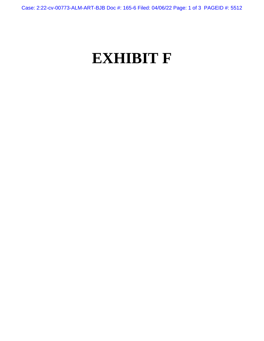Case: 2:22-cv-00773-ALM-ART-BJB Doc #: 165-6 Filed: 04/06/22 Page: 1 of 3 PAGEID #: 5512

## **EXHIBIT F**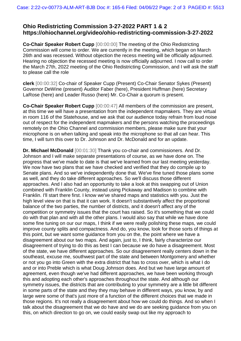## **Ohio Redistricting Commission 3-27-2022 PART 1 & 2 https://ohiochannel.org/video/ohio-redistricting-commission-3-27-2022**

**Co-Chair Speaker Robert Cupp** [00:00:00] The meeting of the Ohio Redistricting Commission will come to order. We are currently in the meeting, which began on March 26th and was recessed. Without objection the recess meeting will be officially adjourned. Hearing no objection the recessed meeting is now officially adjourned. I now call to order the March 27th, 2022 meeting of the Ohio Redistricting Commission, and I will ask the staff to please call the role

**clerk** [00:00:32] Co-chair of Speaker Cupp (Present) Co-Chair Senator Sykes (Present) Governor DeWine (present) Auditor Faber (here), President Huffman (here) Secretary LaRose (here) and Leader Russo (here) Mr. Co-Chair a quorum is present.

**Co-Chair Speaker Robert Cupp** [00:00:47] All members of the commission are present, at this time we will have a presentation from the independent mapmakers. They are virtual in room 116 of the Statehouse, and we ask that our audience today refrain from loud noise out of respect for the independent mapmakers and the persons watching the proceedings remotely on the Ohio Channel and commission members, please make sure that your microphone is on when talking and speak into the microphone so that all can hear. This time, I will turn this over to Dr. Johnson and Dr. McDonald and for an update.

**Dr. Michael McDonald** [00:01:30] Thank you co-chair and commissioners. And Dr. Johnson and I will make separate presentations of course, as we have done on. The progress that we've made to date is that we've learned from our last meeting yesterday. We now have two plans that we have checked and verified that they do compile up to Senate plans. And so we've independently done that. We've fine tuned those plans some as well, and they do take different approaches. So we'll discuss those different approaches. And I also had an opportunity to take a look at this swapping out of Union combined with Franklin County, instead using Pickaway and Madison to combine with Franklin. I'll start there first. I know we've shared maps and statistics with you. Just the high level view on that is that it can work. It doesn't substantively affect the proportional balance of the two parties, the number of districts, and it doesn't affect any of the competition or symmetry issues that the court has raised. So it's something that we could do with that plan and with all the other plans. I would also say that while we have done some fine tuning on our our maps, I think if we were really polishing these maps, we could improve county splits and compactness. And do, you know, look for those sorts of things at this point, but we want some guidance from you on the, the point where we have a disagreement about our two maps. And again, just to, I think, fairly characterize our disagreement of trying to do this as best I can because we do have a disagreement. Most of the state, we have different approaches. So our disagreement really centers down in the southeast, excuse me, southwest part of the state and between Montgomery and whether or not you go into Green with the extra district that has to cross over, which is what I do and or into Preble which is what Doug Johnson does. And but we have large amount of agreement, even though we've had different approaches, we have been working through this and adopting each other's approaches throughout the state. And although our symmetry issues, the districts that are contributing to your symmetry are a little bit different in some parts of the state and they they may behave in different ways, you know, by and large were some of that's just more of a function of the different choices that we made in those regions. It's not really a disagreement about how we could do things. And so when I talk about the disagreement that we do have and we do are seeking guidance from you on this, on which direction to go on, we could easily swap out like my approach to